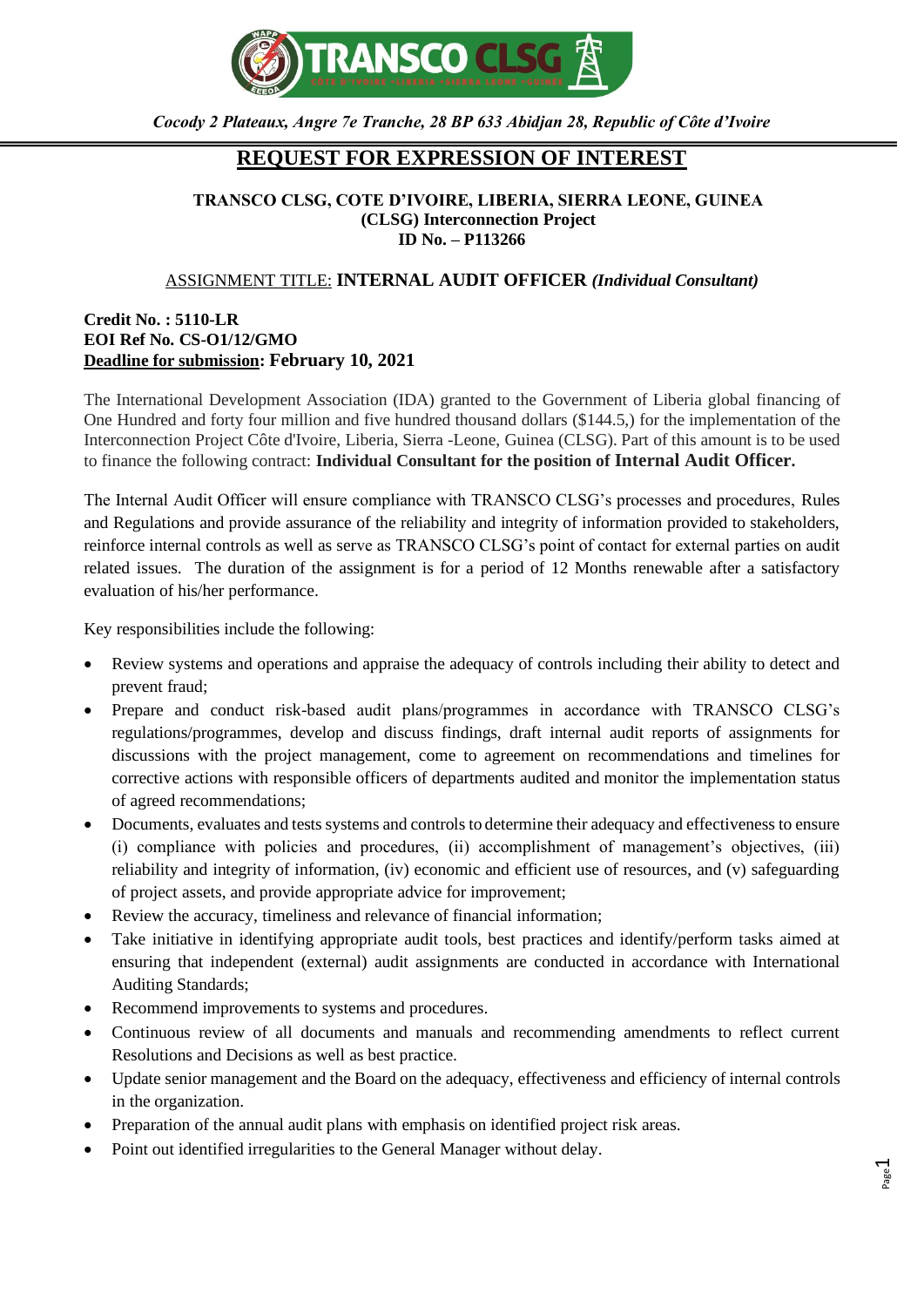

*Cocody 2 Plateaux, Angre 7e Tranche, 28 BP 633 Abidjan 28, Republic of Côte d'Ivoire*

## **REQUEST FOR EXPRESSION OF INTEREST**

## **TRANSCO CLSG, COTE D'IVOIRE, LIBERIA, SIERRA LEONE, GUINEA (CLSG) Interconnection Project ID No. – P113266**

## ASSIGNMENT TITLE: **INTERNAL AUDIT OFFICER** *(Individual Consultant)*

## **Credit No. : 5110-LR EOI Ref No. CS-O1/12/GMO Deadline for submission: February 10, 2021**

The International Development Association (IDA) granted to the Government of Liberia global financing of One Hundred and forty four million and five hundred thousand dollars (\$144.5,) for the implementation of the Interconnection Project Côte d'Ivoire, Liberia, Sierra -Leone, Guinea (CLSG). Part of this amount is to be used to finance the following contract: **Individual Consultant for the position of Internal Audit Officer.**

The Internal Audit Officer will ensure compliance with TRANSCO CLSG's processes and procedures, Rules and Regulations and provide assurance of the reliability and integrity of information provided to stakeholders, reinforce internal controls as well as serve as TRANSCO CLSG's point of contact for external parties on audit related issues. The duration of the assignment is for a period of 12 Months renewable after a satisfactory evaluation of his/her performance.

Key responsibilities include the following:

- Review systems and operations and appraise the adequacy of controls including their ability to detect and prevent fraud;
- Prepare and conduct risk-based audit plans/programmes in accordance with TRANSCO CLSG's regulations/programmes, develop and discuss findings, draft internal audit reports of assignments for discussions with the project management, come to agreement on recommendations and timelines for corrective actions with responsible officers of departments audited and monitor the implementation status of agreed recommendations;
- Documents, evaluates and tests systems and controls to determine their adequacy and effectiveness to ensure (i) compliance with policies and procedures, (ii) accomplishment of management's objectives, (iii) reliability and integrity of information, (iv) economic and efficient use of resources, and (v) safeguarding of project assets, and provide appropriate advice for improvement;
- Review the accuracy, timeliness and relevance of financial information;
- Take initiative in identifying appropriate audit tools, best practices and identify/perform tasks aimed at ensuring that independent (external) audit assignments are conducted in accordance with International Auditing Standards;
- Recommend improvements to systems and procedures.
- Continuous review of all documents and manuals and recommending amendments to reflect current Resolutions and Decisions as well as best practice.
- Update senior management and the Board on the adequacy, effectiveness and efficiency of internal controls in the organization.
- Preparation of the annual audit plans with emphasis on identified project risk areas.
- Point out identified irregularities to the General Manager without delay.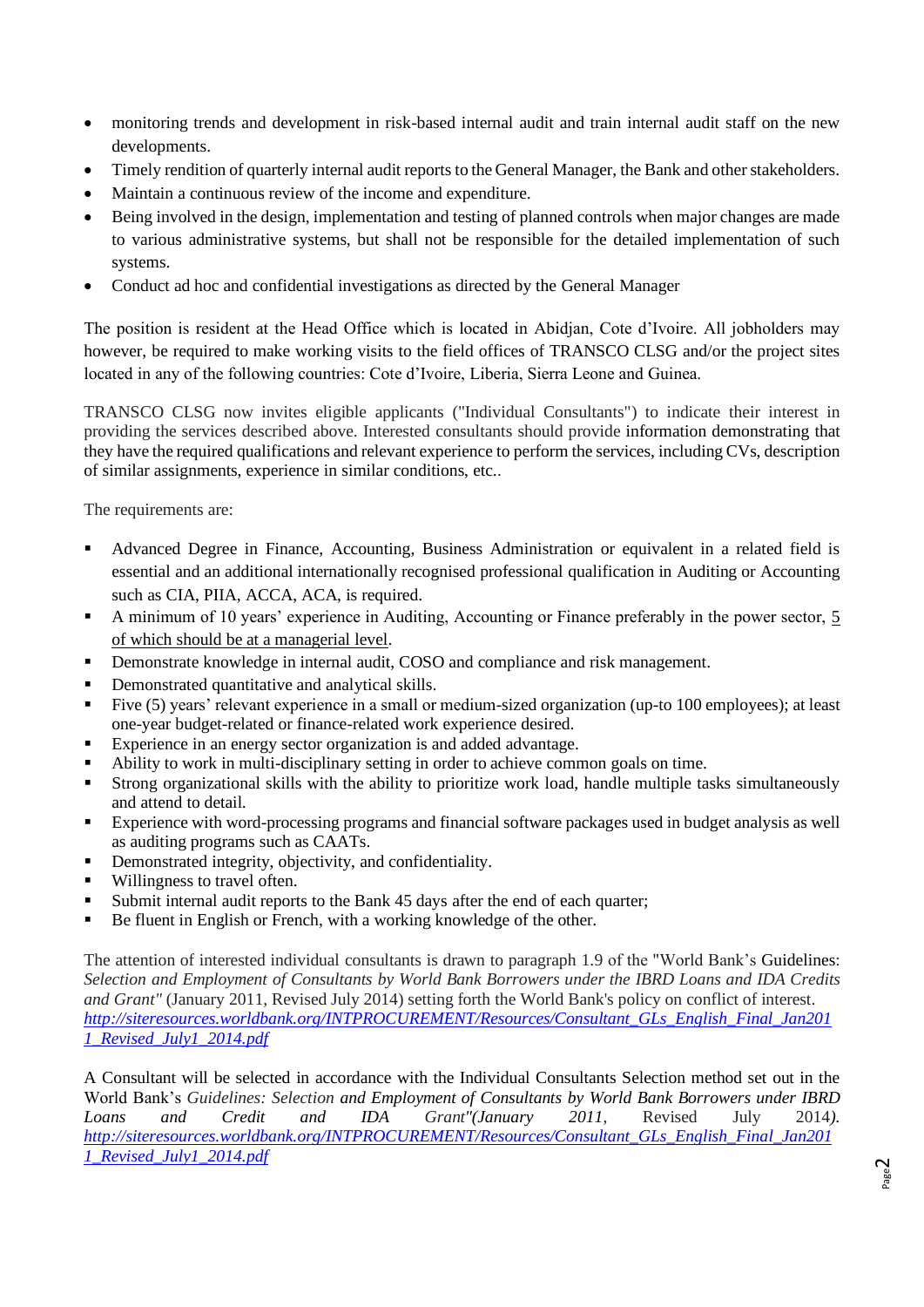- monitoring trends and development in risk-based internal audit and train internal audit staff on the new developments.
- Timely rendition of quarterly internal audit reports to the General Manager, the Bank and other stakeholders.
- Maintain a continuous review of the income and expenditure.
- Being involved in the design, implementation and testing of planned controls when major changes are made to various administrative systems, but shall not be responsible for the detailed implementation of such systems.
- Conduct ad hoc and confidential investigations as directed by the General Manager

The position is resident at the Head Office which is located in Abidjan, Cote d'Ivoire. All jobholders may however, be required to make working visits to the field offices of TRANSCO CLSG and/or the project sites located in any of the following countries: Cote d'Ivoire, Liberia, Sierra Leone and Guinea.

TRANSCO CLSG now invites eligible applicants ("Individual Consultants") to indicate their interest in providing the services described above. Interested consultants should provide information demonstrating that they have the required qualifications and relevant experience to perform the services, including CVs, description of similar assignments, experience in similar conditions, etc..

The requirements are:

- Advanced Degree in Finance, Accounting, Business Administration or equivalent in a related field is essential and an additional internationally recognised professional qualification in Auditing or Accounting such as CIA, PIIA, ACCA, ACA, is required.
- A minimum of 10 years' experience in Auditing, Accounting or Finance preferably in the power sector, 5 of which should be at a managerial level.
- Demonstrate knowledge in internal audit, COSO and compliance and risk management.
- Demonstrated quantitative and analytical skills.
- Five (5) years' relevant experience in a small or medium-sized organization (up-to 100 employees); at least one-year budget-related or finance-related work experience desired.
- Experience in an energy sector organization is and added advantage.
- Ability to work in multi-disciplinary setting in order to achieve common goals on time.
- Strong organizational skills with the ability to prioritize work load, handle multiple tasks simultaneously and attend to detail.
- Experience with word-processing programs and financial software packages used in budget analysis as well as auditing programs such as CAATs.
- Demonstrated integrity, objectivity, and confidentiality.
- Willingness to travel often.
- Submit internal audit reports to the Bank 45 days after the end of each quarter;
- Be fluent in English or French, with a working knowledge of the other.

The attention of interested individual consultants is drawn to paragraph 1.9 of the "World Bank's Guidelines: *Selection and Employment of Consultants by World Bank Borrowers under the IBRD Loans and IDA Credits and Grant"* (January 2011, Revised July 2014) setting forth the World Bank's policy on conflict of interest. *[http://siteresources.worldbank.org/INTPROCUREMENT/Resources/Consultant\\_GLs\\_English\\_Final\\_Jan201](http://siteresources.worldbank.org/INTPROCUREMENT/Resources/Consultant_GLs_English_Final_Jan2011_Revised_July1_2014.pdf) [1\\_Revised\\_July1\\_2014.pdf](http://siteresources.worldbank.org/INTPROCUREMENT/Resources/Consultant_GLs_English_Final_Jan2011_Revised_July1_2014.pdf)*

A Consultant will be selected in accordance with the Individual Consultants Selection method set out in the World Bank's *Guidelines: Selection and Employment of Consultants by World Bank Borrowers under IBRD Loans and Credit and IDA Grant"(January 2011*, Revised July 2014*). [http://siteresources.worldbank.org/INTPROCUREMENT/Resources/Consultant\\_GLs\\_English\\_Final\\_Jan201](http://siteresources.worldbank.org/INTPROCUREMENT/Resources/Consultant_GLs_English_Final_Jan2011_Revised_July1_2014.pdf) [1\\_Revised\\_July1\\_2014.pdf](http://siteresources.worldbank.org/INTPROCUREMENT/Resources/Consultant_GLs_English_Final_Jan2011_Revised_July1_2014.pdf)*